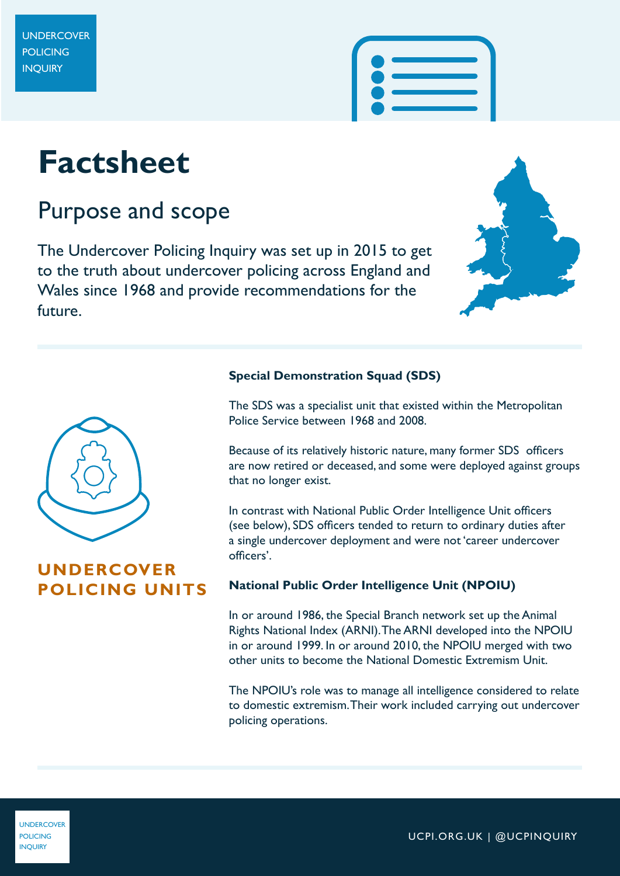# **Factsheet**

## Purpose and scope

The Undercover Policing Inquiry was set up in 2015 to get to the truth about undercover policing across England and Wales since 1968 and provide recommendations for the future.





#### **UNDERCOVER POLICING UNITS**

#### **Special Demonstration Squad (SDS)**

The SDS was a specialist unit that existed within the Metropolitan Police Service between 1968 and 2008.

Because of its relatively historic nature, many former SDS officers are now retired or deceased, and some were deployed against groups that no longer exist.

In contrast with National Public Order Intelligence Unit officers (see below), SDS officers tended to return to ordinary duties after a single undercover deployment and were not 'career undercover officers'.

#### **National Public Order Intelligence Unit (NPOIU)**

In or around 1986, the Special Branch network set up the Animal Rights National Index (ARNI). The ARNI developed into the NPOIU in or around 1999. In or around 2010, the NPOIU merged with two other units to become the National Domestic Extremism Unit.

The NPOIU's role was to manage all intelligence considered to relate to domestic extremism. Their work included carrying out undercover policing operations.

UNDERCOVER **POLICING** INQUIRY

UCPI.ORG.UK | @UCPINQUIRY